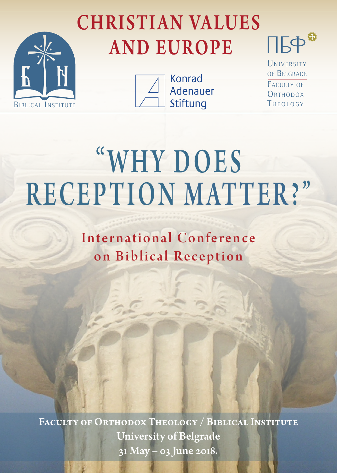## CHRISTIAN VALUES AND EUROPE





**Konrad** Adenauer Stiftung

UNIVERSITY of Belgrade faculty of ORTHODOX THEOLOGY

 $\mathsf{TB}^\prime$ 

# "WHY DOES RECEPTION MATTER? "

International Conference on Biblical Reception

Faculty of Orthodox Theology / Biblical Institute University of Belgrade 31 May – 03 June 2018.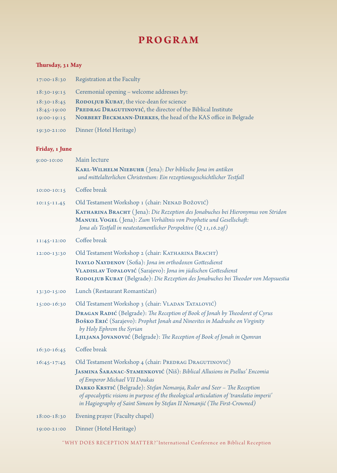### **PROGRAM**

#### **Thursday, 31 May**

| 17:00-18:30                                   | Registration at the Faculty                                                                                                                                                   |
|-----------------------------------------------|-------------------------------------------------------------------------------------------------------------------------------------------------------------------------------|
| $18:30-19:15$                                 | Ceremonial opening - welcome addresses by:                                                                                                                                    |
| $18:30-18:45$<br>$18:45-19:00$<br>19:00-19:15 | RODOLJUB KUBAT, the vice-dean for science<br>PREDRAG DRAGUTINOVIĆ, the director of the Biblical Institute<br>NORBERT BECKMANN-DIERKES, the head of the KAS office in Belgrade |
| 19:30-21:00                                   | Dinner (Hotel Heritage)                                                                                                                                                       |

**Friday, 1 June**

| 9:00-10:00      | Main lecture                                                                                                                                                                                                                                     |
|-----------------|--------------------------------------------------------------------------------------------------------------------------------------------------------------------------------------------------------------------------------------------------|
|                 | KARL-WILHELM NIEBUHR (Jena): Der biblische Jona im antiken<br>und mittelalterlichen Christentum: Ein rezeptionsgeschichtlicher Testfall                                                                                                          |
| $10:00 - 10:15$ | Coffee break                                                                                                                                                                                                                                     |
| 10:15-11.45     | Old Testament Workshop 1 (chair: NENAD BOŽOVIĆ)                                                                                                                                                                                                  |
|                 | KATHARINA BRACHT (Jena): Die Rezeption des Jonabuches bei Hieronymus von Stridon<br>MANUEL VOGEL (Jena): Zum Verhältnis von Prophetie und Gesellschaft:                                                                                          |
|                 | Jona als Testfall in neutestamentlicher Perspektive $(Q_{11,16.29f})$                                                                                                                                                                            |
| 11:45-12:00     | Coffee break                                                                                                                                                                                                                                     |
| 12:00-13:30     | Old Testament Workshop 2 (chair: KATHARINA BRACHT)                                                                                                                                                                                               |
|                 | IVAYLO NAYDENOV (Sofia): Jona im orthodoxen Gottesdienst<br>VLADISLAV TOPALOVIĆ (Sarajevo): Jona im jüdischen Gottesdienst<br>RODOLJUB KUBAT (Belgrade): Die Rezeption des Jonabuches bei Theodor von Mopsuestia                                 |
| 13:30-15:00     | Lunch (Restaurant Romantičari)                                                                                                                                                                                                                   |
| 15:00-16:30     | Old Testament Workshop 3 (chair: VLADAN TATALOVIĆ)                                                                                                                                                                                               |
|                 | DRAGAN RADIĆ (Belgrade): The Reception of Book of Jonah by Theodoret of Cyrus                                                                                                                                                                    |
|                 | BOŠKO ERIĆ (Sarajevo): Prophet Jonah and Ninevites in Madrashe on Virginity                                                                                                                                                                      |
|                 | by Holy Ephrem the Syrian<br>LJILJANA JOVANOVIĆ (Belgrade): The Reception of Book of Jonah in Qumran                                                                                                                                             |
| 16:30-16:45     | Coffee break                                                                                                                                                                                                                                     |
|                 | Old Testament Workshop 4 (chair: PREDRAG DRAGUTINOVIĆ)                                                                                                                                                                                           |
| $16:45-17:45$   | JASMINA ŠARANAC-STAMENKOVIĆ (Niš): Biblical Allusions in Psellus' Encomia<br>of Emperor Michael VII Doukas                                                                                                                                       |
|                 | DARKO KRSTIĆ (Belgrade): Stefan Nemanja, Ruler and Seer - The Reception<br>of apocalyptic visions in purpose of the theological articulation of 'translatio imperii'<br>in Hagiography of Saint Simeon by Stefan II Nemanjić (The First-Crowned) |
| 18:00-18:30     | Evening prayer (Faculty chapel)                                                                                                                                                                                                                  |
| 19:00-21:00     | Dinner (Hotel Heritage)                                                                                                                                                                                                                          |

"WHY DOES RECEPTION MATTER?"International Conference on Biblical Reception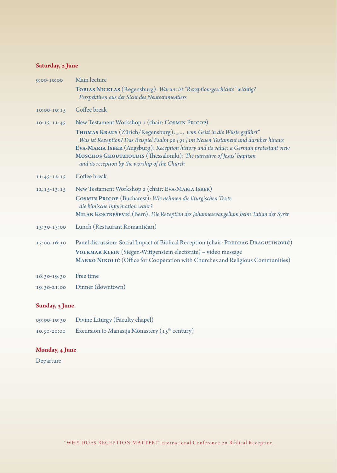#### **Saturday, 2 June**

| 9:00-10:00      | Main lecture                                                                                                                                                                                                                                                                                                                                                                                                                     |
|-----------------|----------------------------------------------------------------------------------------------------------------------------------------------------------------------------------------------------------------------------------------------------------------------------------------------------------------------------------------------------------------------------------------------------------------------------------|
|                 | TOBIAS NICKLAS (Regensburg): Warum ist "Rezeptionsgeschichte" wichtig?<br>Perspektiven aus der Sicht des Neutestamentlers                                                                                                                                                                                                                                                                                                        |
| $10:00 - 10:15$ | Coffee break                                                                                                                                                                                                                                                                                                                                                                                                                     |
| $10:15 - 11:45$ | New Testament Workshop 1 (chair: COSMIN PRICOP)<br>THOMAS KRAUS (Zürich/Regensburg): " vom Geist in die Wüste geführt"<br>Was ist Rezeption? Das Beispiel Psalm 90 [91] im Neuen Testament und darüber hinaus<br>EVA-MARIA ISBER (Augsburg): Reception history and its value: a German protestant view<br>MOSCHOS GKOUTZIOUDIS (Thessaloniki): The narrative of Jesus' baptism<br>and its reception by the worship of the Church |
| 11:45-12:15     | Coffee break                                                                                                                                                                                                                                                                                                                                                                                                                     |
| 12:15-13:15     | New Testament Workshop 2 (chair: EVA-MARIA ISBER)<br>COSMIN PRICOP (Bucharest): Wie nehmen die liturgischen Texte<br>die biblische Information wahr?<br>MILAN KOSTREŠEVIĆ (Bern): Die Rezeption des Johannesevangelium beim Tatian der Syrer                                                                                                                                                                                     |
| 13:30-15:00     | Lunch (Restaurant Romantičari)                                                                                                                                                                                                                                                                                                                                                                                                   |
| 15:00-16:30     | Panel discussion: Social Impact of Biblical Reception (chair: PREDRAG DRAGUTINOVIĆ)<br>VOLKMAR KLEIN (Siegen-Wittgenstein electorate) - video message<br>MARKO NIKOLIĆ (Office for Cooperation with Churches and Religious Communities)                                                                                                                                                                                          |
| 16:30-19:30     | Free time                                                                                                                                                                                                                                                                                                                                                                                                                        |
| 19:30-21:00     | Dinner (downtown)                                                                                                                                                                                                                                                                                                                                                                                                                |

#### **Sunday, 3 June**

| 09:00-10:30 | Divine Liturgy (Faculty chapel)                   |
|-------------|---------------------------------------------------|
| 10.30-20:00 | Excursion to Manasija Monastery ( $15th$ century) |

#### **Monday, 4 June**

Departure